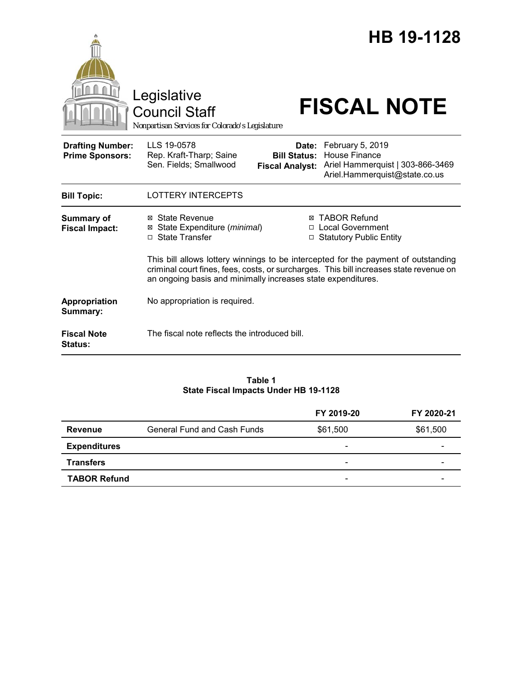|                                                   |                                                                                                                                                                                                                                              |                              | HB 19-1128                                                                                                                    |
|---------------------------------------------------|----------------------------------------------------------------------------------------------------------------------------------------------------------------------------------------------------------------------------------------------|------------------------------|-------------------------------------------------------------------------------------------------------------------------------|
|                                                   | Legislative<br><b>Council Staff</b><br>Nonpartisan Services for Colorado's Legislature                                                                                                                                                       |                              | <b>FISCAL NOTE</b>                                                                                                            |
| <b>Drafting Number:</b><br><b>Prime Sponsors:</b> | LLS 19-0578<br>Rep. Kraft-Tharp; Saine<br>Sen. Fields; Smallwood                                                                                                                                                                             | Date:<br><b>Bill Status:</b> | February 5, 2019<br><b>House Finance</b><br>Fiscal Analyst: Ariel Hammerquist   303-866-3469<br>Ariel.Hammerquist@state.co.us |
| <b>Bill Topic:</b>                                | <b>LOTTERY INTERCEPTS</b>                                                                                                                                                                                                                    |                              |                                                                                                                               |
| <b>Summary of</b><br><b>Fiscal Impact:</b>        | ⊠ State Revenue<br>State Expenditure (minimal)<br>□ State Transfer                                                                                                                                                                           |                              | <b>⊠ TABOR Refund</b><br>□ Local Government<br>□ Statutory Public Entity                                                      |
|                                                   | This bill allows lottery winnings to be intercepted for the payment of outstanding<br>criminal court fines, fees, costs, or surcharges. This bill increases state revenue on<br>an ongoing basis and minimally increases state expenditures. |                              |                                                                                                                               |
| Appropriation<br>Summary:                         | No appropriation is required.                                                                                                                                                                                                                |                              |                                                                                                                               |
| <b>Fiscal Note</b><br>Status:                     | The fiscal note reflects the introduced bill.                                                                                                                                                                                                |                              |                                                                                                                               |

#### **Table 1 State Fiscal Impacts Under HB 19-1128**

|                     |                                    | FY 2019-20                   | FY 2020-21 |
|---------------------|------------------------------------|------------------------------|------------|
| Revenue             | <b>General Fund and Cash Funds</b> | \$61,500                     | \$61,500   |
| <b>Expenditures</b> |                                    | $\qquad \qquad \blacksquare$ | -          |
| <b>Transfers</b>    |                                    | -                            | -          |
| <b>TABOR Refund</b> |                                    | $\overline{\phantom{0}}$     |            |